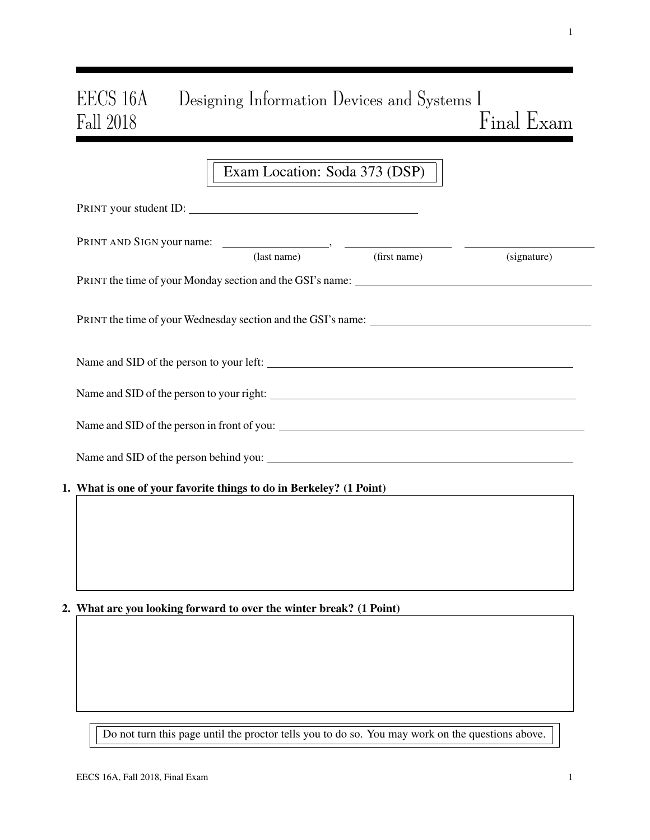# EECS 16A Designing Information Devices and Systems I Fall 2018  $Final$  Exam

|                                                                     | Exam Location: Soda 373 (DSP) |                          |             |  |
|---------------------------------------------------------------------|-------------------------------|--------------------------|-------------|--|
| PRINT your student ID:                                              |                               |                          |             |  |
|                                                                     |                               | (last name) (first name) | (signature) |  |
|                                                                     |                               |                          |             |  |
|                                                                     |                               |                          |             |  |
|                                                                     |                               |                          |             |  |
|                                                                     |                               |                          |             |  |
|                                                                     |                               |                          |             |  |
|                                                                     |                               |                          |             |  |
| 1. What is one of your favorite things to do in Berkeley? (1 Point) |                               |                          |             |  |
|                                                                     |                               |                          |             |  |
|                                                                     |                               |                          |             |  |

# 2. What are you looking forward to over the winter break? (1 Point)

Do not turn this page until the proctor tells you to do so. You may work on the questions above.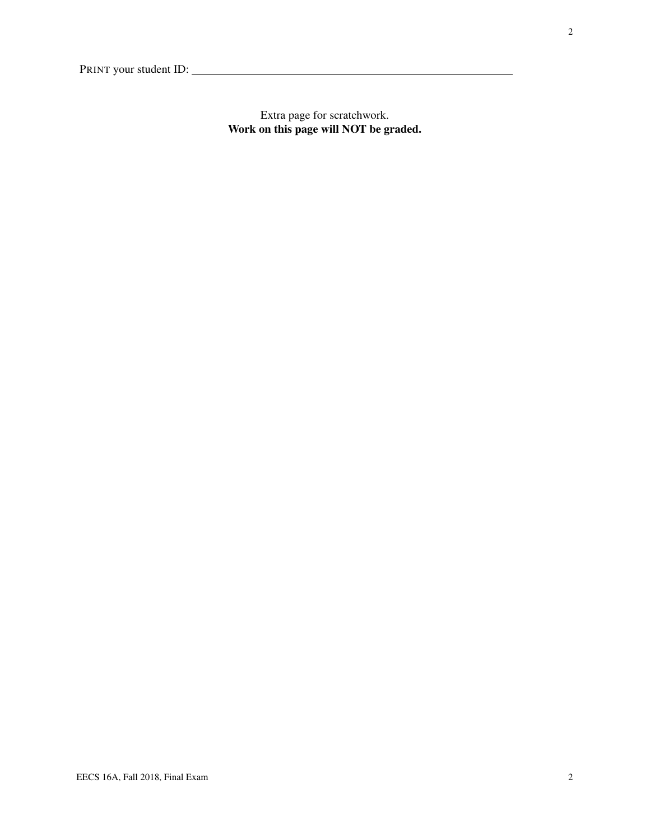Extra page for scratchwork. Work on this page will NOT be graded.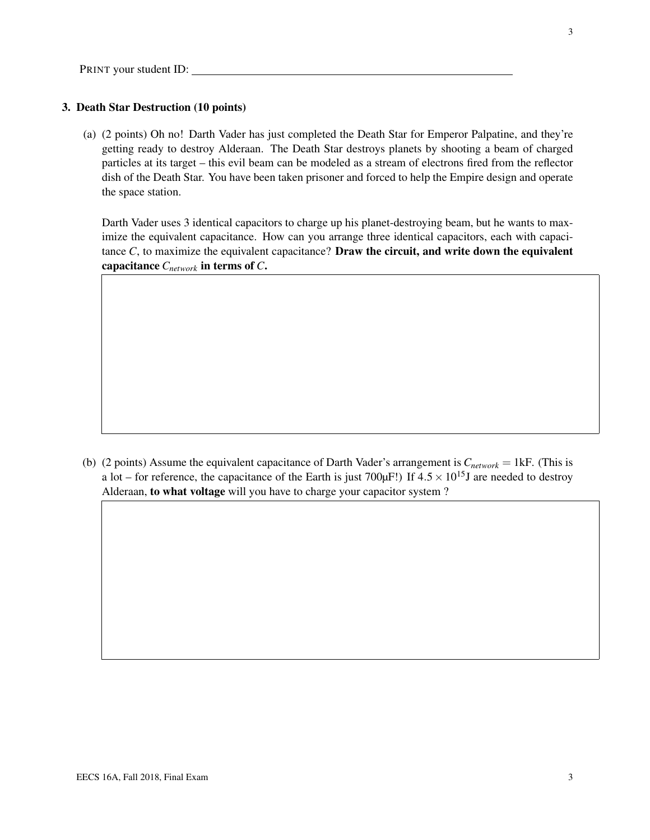## 3. Death Star Destruction (10 points)

(a) (2 points) Oh no! Darth Vader has just completed the Death Star for Emperor Palpatine, and they're getting ready to destroy Alderaan. The Death Star destroys planets by shooting a beam of charged particles at its target – this evil beam can be modeled as a stream of electrons fired from the reflector dish of the Death Star. You have been taken prisoner and forced to help the Empire design and operate the space station.

Darth Vader uses 3 identical capacitors to charge up his planet-destroying beam, but he wants to maximize the equivalent capacitance. How can you arrange three identical capacitors, each with capacitance  $C$ , to maximize the equivalent capacitance? **Draw the circuit, and write down the equivalent** capacitance *Cnetwork* in terms of *C*.

(b) (2 points) Assume the equivalent capacitance of Darth Vader's arrangement is *Cnetwork* = 1kF. (This is a lot – for reference, the capacitance of the Earth is just 700 $\mu$ F!) If 4.5  $\times$  10<sup>15</sup>J are needed to destroy Alderaan, to what voltage will you have to charge your capacitor system ?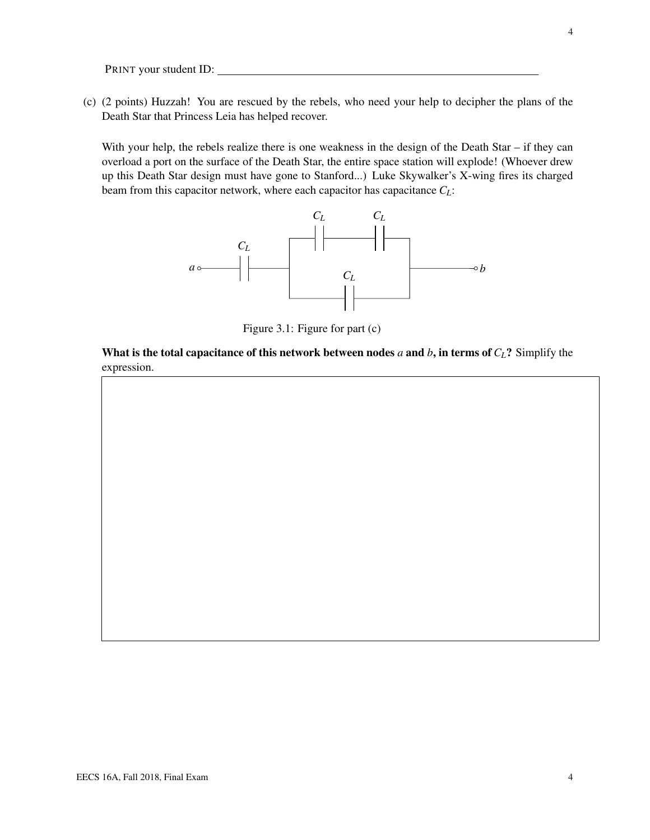(c) (2 points) Huzzah! You are rescued by the rebels, who need your help to decipher the plans of the Death Star that Princess Leia has helped recover.

With your help, the rebels realize there is one weakness in the design of the Death Star – if they can overload a port on the surface of the Death Star, the entire space station will explode! (Whoever drew up this Death Star design must have gone to Stanford...) Luke Skywalker's X-wing fires its charged beam from this capacitor network, where each capacitor has capacitance *CL*:



Figure 3.1: Figure for part (c)

What is the total capacitance of this network between nodes *a* and *b*, in terms of  $C_L$ ? Simplify the expression.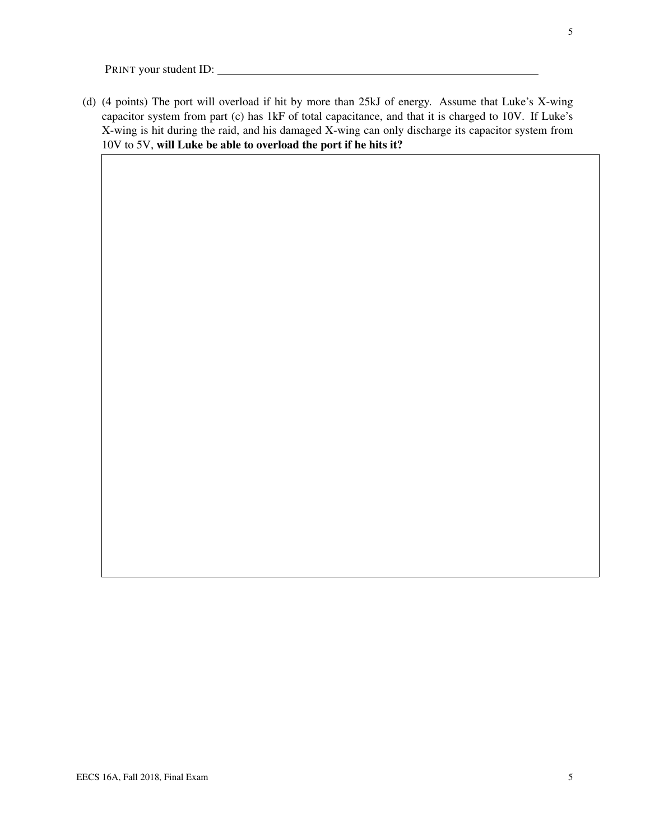(d) (4 points) The port will overload if hit by more than 25kJ of energy. Assume that Luke's X-wing capacitor system from part (c) has 1kF of total capacitance, and that it is charged to 10V. If Luke's X-wing is hit during the raid, and his damaged X-wing can only discharge its capacitor system from 10V to 5V, will Luke be able to overload the port if he hits it?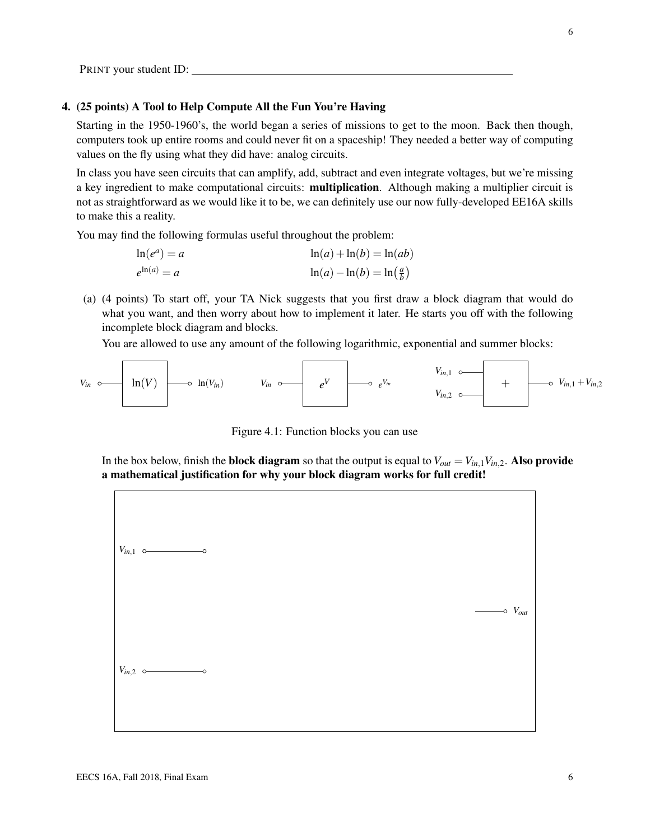#### 4. (25 points) A Tool to Help Compute All the Fun You're Having

Starting in the 1950-1960's, the world began a series of missions to get to the moon. Back then though, computers took up entire rooms and could never fit on a spaceship! They needed a better way of computing values on the fly using what they did have: analog circuits.

In class you have seen circuits that can amplify, add, subtract and even integrate voltages, but we're missing a key ingredient to make computational circuits: multiplication. Although making a multiplier circuit is not as straightforward as we would like it to be, we can definitely use our now fully-developed EE16A skills to make this a reality.

You may find the following formulas useful throughout the problem:

| $\ln(e^a) = a$   | $\ln(a) + \ln(b) = \ln(ab)$                     |
|------------------|-------------------------------------------------|
| $e^{\ln(a)} = a$ | $\ln(a) - \ln(b) = \ln\left(\frac{a}{b}\right)$ |

(a) (4 points) To start off, your TA Nick suggests that you first draw a block diagram that would do what you want, and then worry about how to implement it later. He starts you off with the following incomplete block diagram and blocks.

You are allowed to use any amount of the following logarithmic, exponential and summer blocks:



Figure 4.1: Function blocks you can use

In the box below, finish the **block diagram** so that the output is equal to  $V_{out} = V_{in,1}V_{in,2}$ . Also provide a mathematical justification for why your block diagram works for full credit!

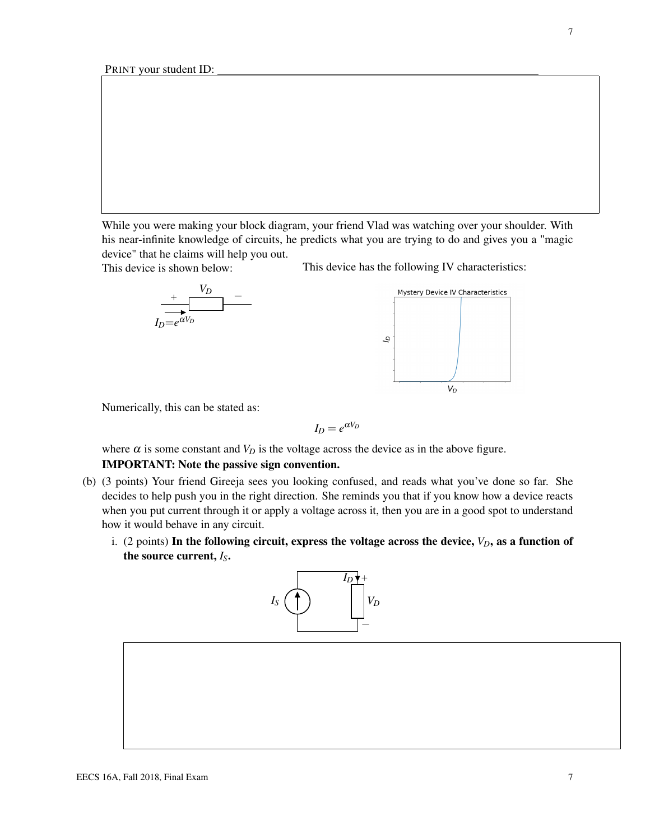While you were making your block diagram, your friend Vlad was watching over your shoulder. With his near-infinite knowledge of circuits, he predicts what you are trying to do and gives you a "magic device" that he claims will help you out.

This device is shown below:







This device has the following IV characteristics:

Numerically, this can be stated as:

$$
I_D = e^{\alpha V_D}
$$

where  $\alpha$  is some constant and  $V_D$  is the voltage across the device as in the above figure.

## IMPORTANT: Note the passive sign convention.

- (b) (3 points) Your friend Gireeja sees you looking confused, and reads what you've done so far. She decides to help push you in the right direction. She reminds you that if you know how a device reacts when you put current through it or apply a voltage across it, then you are in a good spot to understand how it would behave in any circuit.
	- i. (2 points) In the following circuit, express the voltage across the device,  $V_D$ , as a function of the source current, *IS*.



7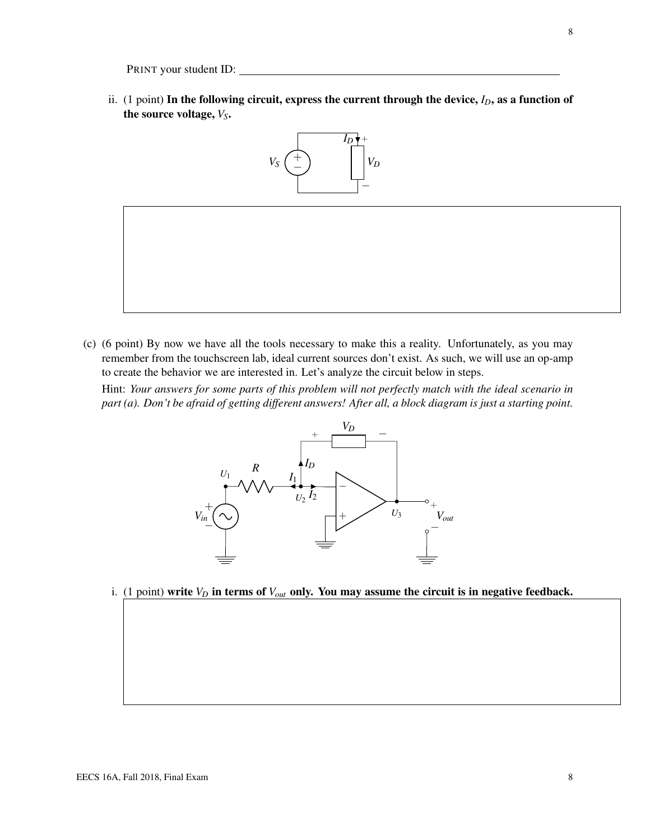ii. (1 point) In the following circuit, express the current through the device,  $I_D$ , as a function of the source voltage,  $V_S$ .



(c) (6 point) By now we have all the tools necessary to make this a reality. Unfortunately, as you may remember from the touchscreen lab, ideal current sources don't exist. As such, we will use an op-amp to create the behavior we are interested in. Let's analyze the circuit below in steps.

Hint: *Your answers for some parts of this problem will not perfectly match with the ideal scenario in part (a). Don't be afraid of getting different answers! After all, a block diagram is just a starting point.*



i. (1 point) write  $V_D$  in terms of  $V_{out}$  only. You may assume the circuit is in negative feedback.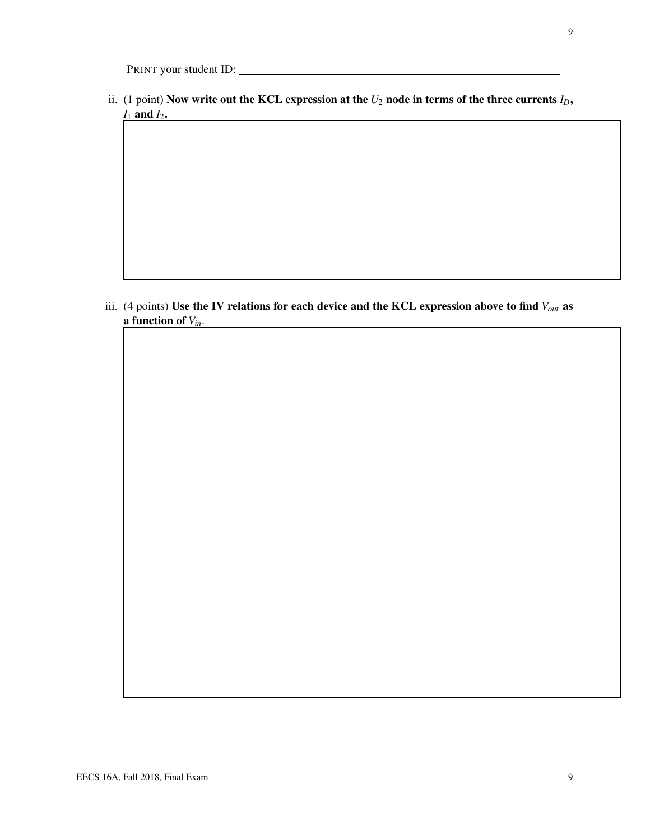ii. (1 point) Now write out the KCL expression at the  $U_2$  node in terms of the three currents  $I_D$ , *I*<sub>1</sub> and *I*<sub>2</sub>.

iii. (4 points) Use the IV relations for each device and the KCL expression above to find *Vout* as a function of *Vin*.

9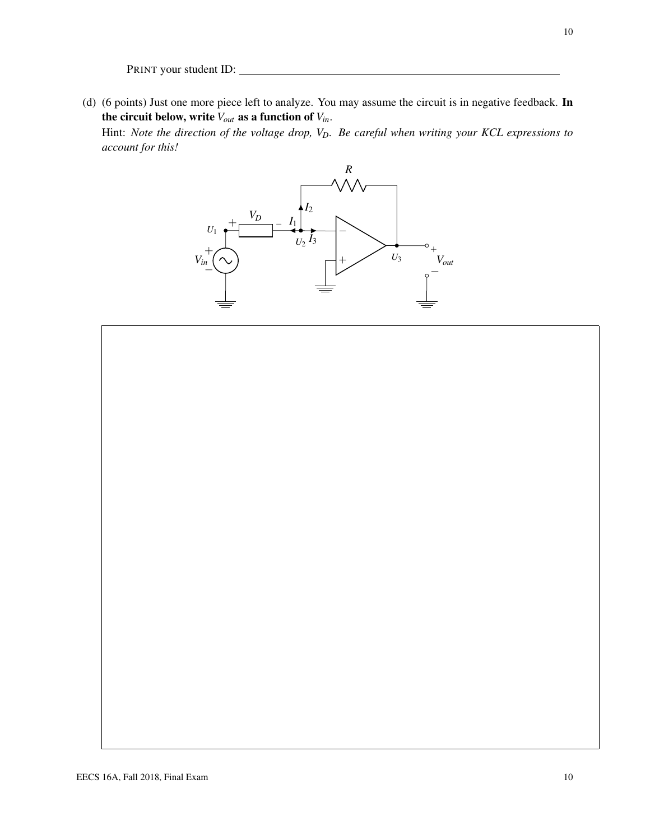(d) (6 points) Just one more piece left to analyze. You may assume the circuit is in negative feedback. In the circuit below, write *Vout* as a function of *Vin*.

Hint: *Note the direction of the voltage drop, VD. Be careful when writing your KCL expressions to account for this!*



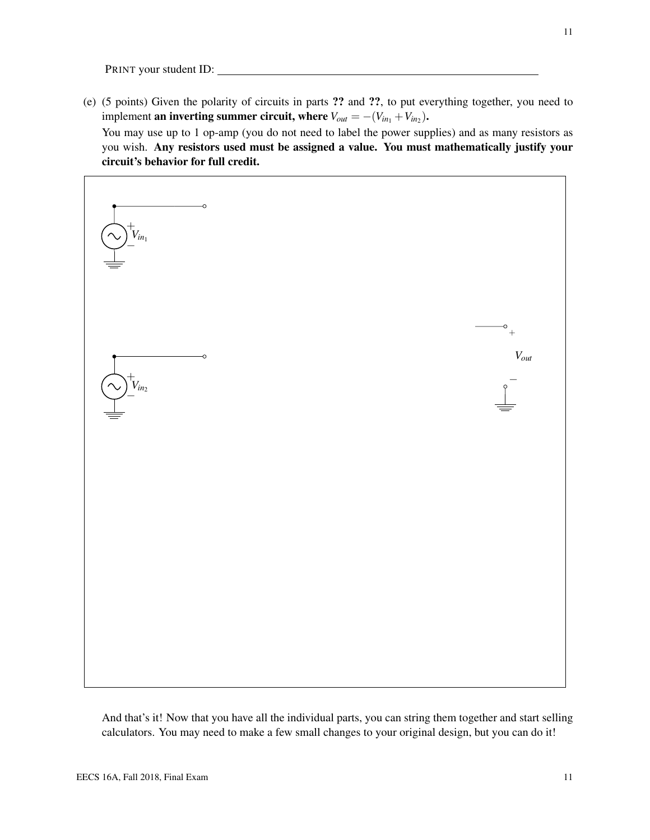(e) (5 points) Given the polarity of circuits in parts ?? and ??, to put everything together, you need to implement **an inverting summer circuit, where**  $V_{out} = -(V_{in_1} + V_{in_2})$ .

You may use up to 1 op-amp (you do not need to label the power supplies) and as many resistors as you wish. Any resistors used must be assigned a value. You must mathematically justify your circuit's behavior for full credit.



And that's it! Now that you have all the individual parts, you can string them together and start selling calculators. You may need to make a few small changes to your original design, but you can do it!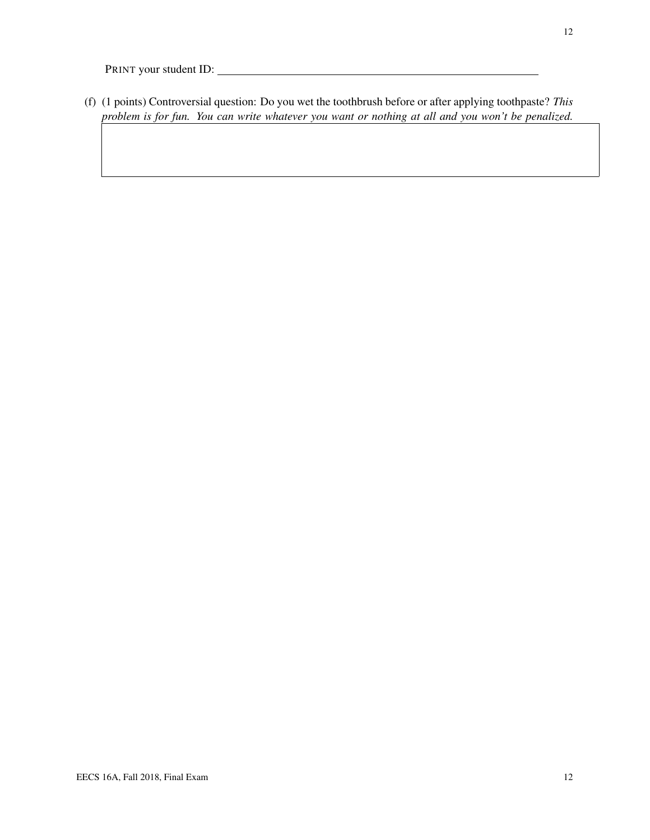(f) (1 points) Controversial question: Do you wet the toothbrush before or after applying toothpaste? *This problem is for fun. You can write whatever you want or nothing at all and you won't be penalized.*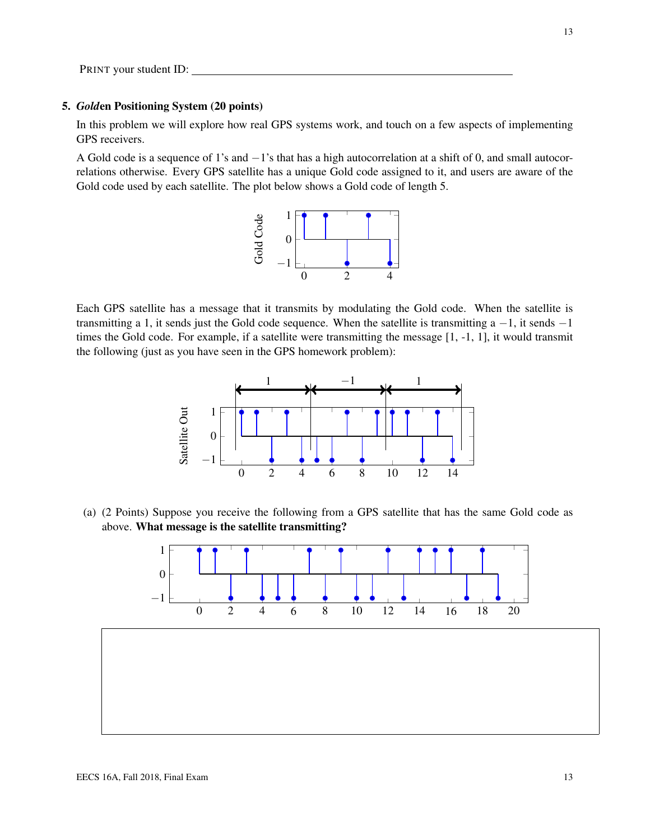#### 5. *Gold*en Positioning System (20 points)

In this problem we will explore how real GPS systems work, and touch on a few aspects of implementing GPS receivers.

A Gold code is a sequence of 1's and −1's that has a high autocorrelation at a shift of 0, and small autocorrelations otherwise. Every GPS satellite has a unique Gold code assigned to it, and users are aware of the Gold code used by each satellite. The plot below shows a Gold code of length 5.



Each GPS satellite has a message that it transmits by modulating the Gold code. When the satellite is transmitting a 1, it sends just the Gold code sequence. When the satellite is transmitting a  $-1$ , it sends  $-1$ times the Gold code. For example, if a satellite were transmitting the message [1, -1, 1], it would transmit the following (just as you have seen in the GPS homework problem):



(a) (2 Points) Suppose you receive the following from a GPS satellite that has the same Gold code as above. What message is the satellite transmitting?

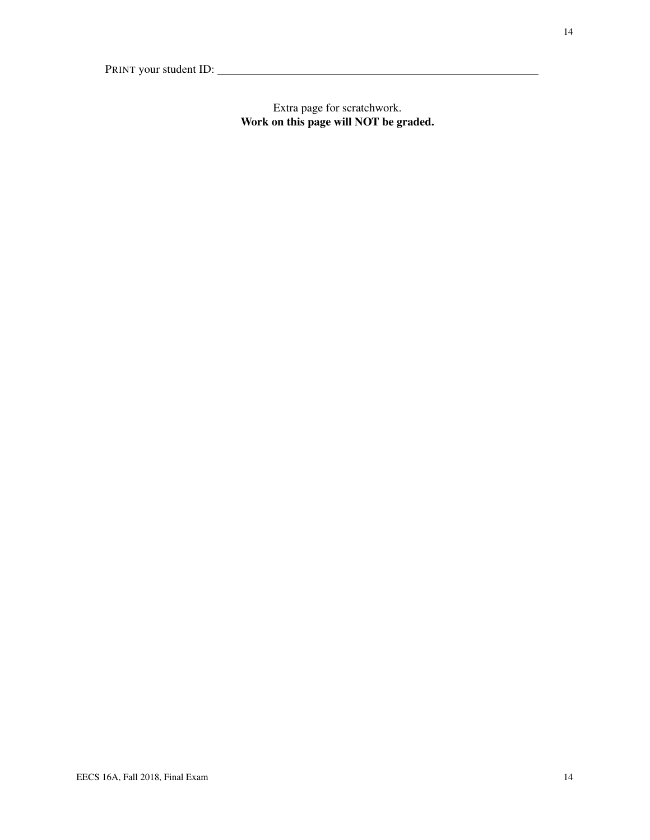# Extra page for scratchwork. Work on this page will NOT be graded.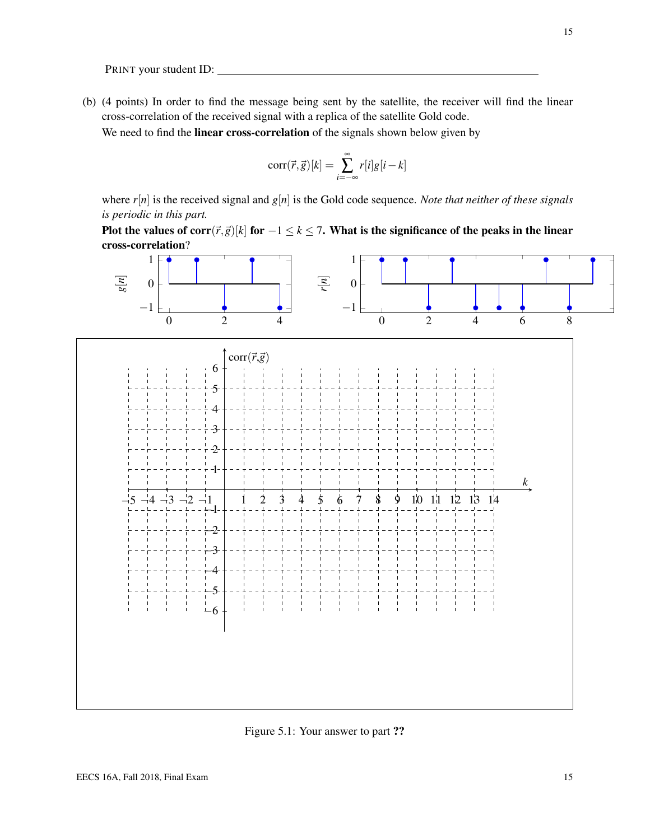(b) (4 points) In order to find the message being sent by the satellite, the receiver will find the linear cross-correlation of the received signal with a replica of the satellite Gold code.

We need to find the **linear cross-correlation** of the signals shown below given by

$$
corr(\vec{r},\vec{g})[k] = \sum_{i=-\infty}^{\infty} r[i]g[i-k]
$$

where *r*[*n*] is the received signal and *g*[*n*] is the Gold code sequence. *Note that neither of these signals is periodic in this part.*

Plot the values of corr( $\vec{r},\vec{g}$ )[ $k$ ] for  $-1 \leq k \leq 7$ . What is the significance of the peaks in the linear cross-correlation?



Figure 5.1: Your answer to part ??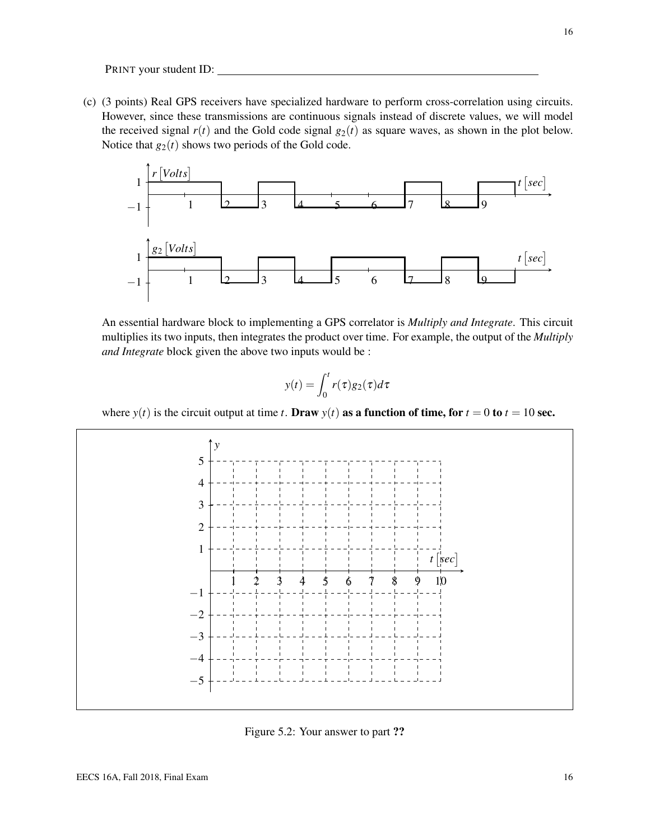(c) (3 points) Real GPS receivers have specialized hardware to perform cross-correlation using circuits. However, since these transmissions are continuous signals instead of discrete values, we will model the received signal  $r(t)$  and the Gold code signal  $g_2(t)$  as square waves, as shown in the plot below. Notice that  $g_2(t)$  shows two periods of the Gold code.



An essential hardware block to implementing a GPS correlator is *Multiply and Integrate*. This circuit multiplies its two inputs, then integrates the product over time. For example, the output of the *Multiply and Integrate* block given the above two inputs would be :

$$
y(t) = \int_0^t r(\tau)g_2(\tau)d\tau
$$

where  $y(t)$  is the circuit output at time *t*. Draw  $y(t)$  as a function of time, for  $t = 0$  to  $t = 10$  sec.



Figure 5.2: Your answer to part ??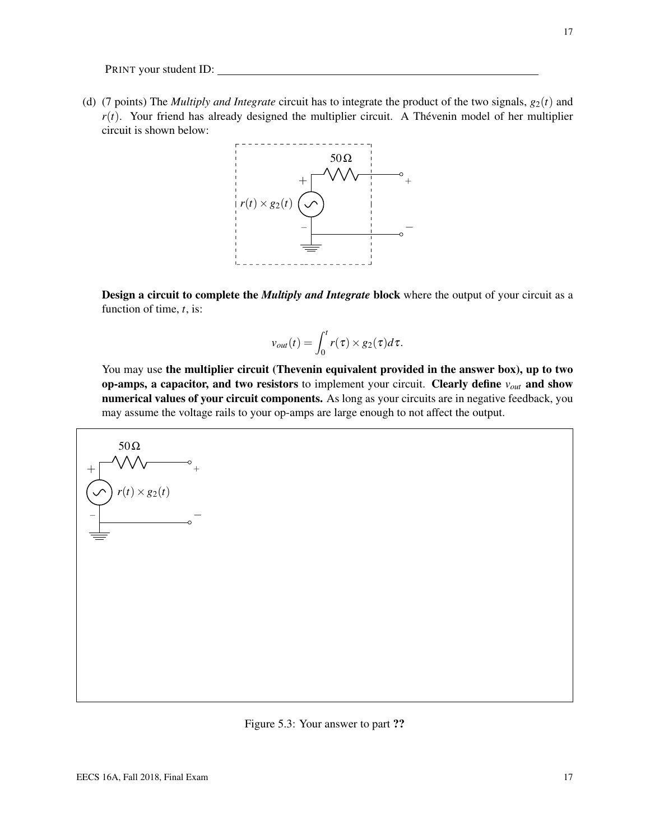(d) (7 points) The *Multiply and Integrate* circuit has to integrate the product of the two signals,  $g_2(t)$  and  $r(t)$ . Your friend has already designed the multiplier circuit. A Thévenin model of her multiplier circuit is shown below:



Design a circuit to complete the *Multiply and Integrate* block where the output of your circuit as a function of time, *t*, is:

$$
v_{out}(t) = \int_0^t r(\tau) \times g_2(\tau) d\tau.
$$

You may use the multiplier circuit (Thevenin equivalent provided in the answer box), up to two op-amps, a capacitor, and two resistors to implement your circuit. Clearly define *vout* and show numerical values of your circuit components. As long as your circuits are in negative feedback, you may assume the voltage rails to your op-amps are large enough to not affect the output.

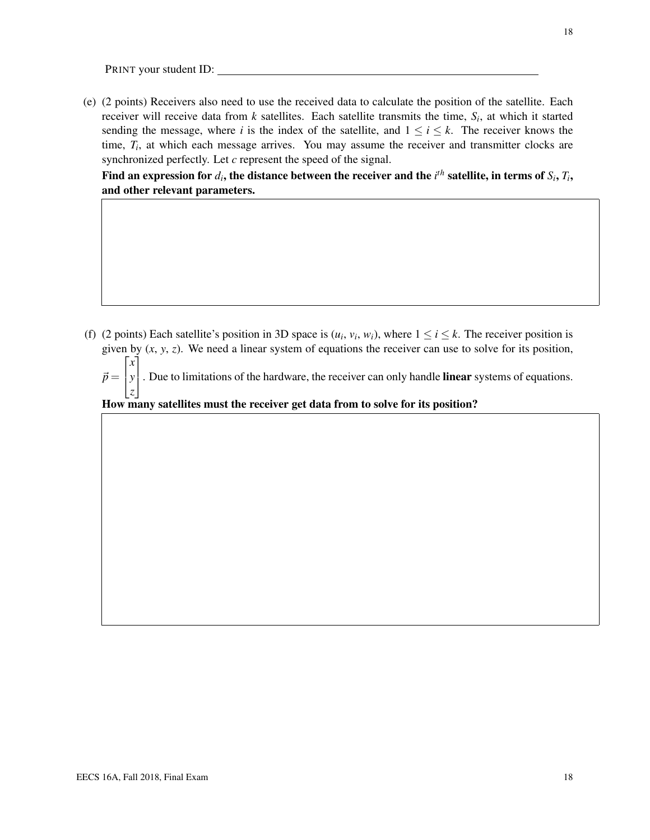(e) (2 points) Receivers also need to use the received data to calculate the position of the satellite. Each receiver will receive data from *k* satellites. Each satellite transmits the time, *S<sup>i</sup>* , at which it started sending the message, where *i* is the index of the satellite, and  $1 \le i \le k$ . The receiver knows the time,  $T_i$ , at which each message arrives. You may assume the receiver and transmitter clocks are synchronized perfectly. Let *c* represent the speed of the signal.

Find an expression for  $d_i$ , the distance between the receiver and the  $i^{th}$  satellite, in terms of  $S_i, T_i,$ and other relevant parameters.

(f) (2 points) Each satellite's position in 3D space is  $(u_i, v_i, w_i)$ , where  $1 \le i \le k$ . The receiver position is given by (*x*, *y*, *z*). We need a linear system of equations the receiver can use to solve for its position,

 $\vec{p} =$  $\sqrt{ }$  $\vert$ *x y z* 1 . Due to limitations of the hardware, the receiver can only handle linear systems of equations.

How many satellites must the receiver get data from to solve for its position?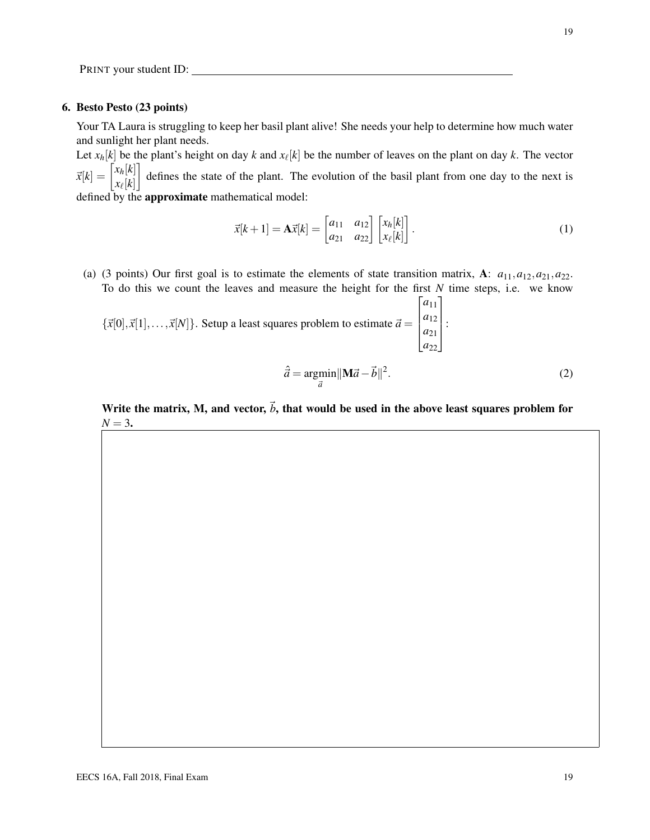#### 6. Besto Pesto (23 points)

Your TA Laura is struggling to keep her basil plant alive! She needs your help to determine how much water and sunlight her plant needs.

Let  $x_h[k]$  be the plant's height on day  $k$  and  $x_\ell[k]$  be the number of leaves on the plant on day  $k$ . The vector  $\vec{x}[k] = \begin{bmatrix} x_h[k] \\ \dots[t] \end{bmatrix}$  $x_{\ell}[k]$  defines the state of the plant. The evolution of the basil plant from one day to the next is defined by the approximate mathematical model:

$$
\vec{x}[k+1] = \mathbf{A}\vec{x}[k] = \begin{bmatrix} a_{11} & a_{12} \\ a_{21} & a_{22} \end{bmatrix} \begin{bmatrix} x_h[k] \\ x_{\ell}[k] \end{bmatrix}.
$$
 (1)

(a) (3 points) Our first goal is to estimate the elements of state transition matrix, A:  $a_{11}, a_{12}, a_{21}, a_{22}$ . To do this we count the leaves and measure the height for the first *N* time steps, i.e. we know

 ${\{\vec{x}[0],\vec{x}[1],\ldots,\vec{x}[N]\}}$ . Setup a least squares problem to estimate  $\vec{a} =$  $\lceil a_{11} \rceil$  $\overline{\phantom{a}}$ *a*<sup>12</sup> *a*<sup>21</sup> *a*<sup>22</sup>  $\overline{\phantom{a}}$ :

$$
\hat{\vec{a}} = \underset{\vec{a}}{\operatorname{argmin}} ||\mathbf{M}\vec{a} - \vec{b}||^2. \tag{2}
$$

Write the matrix, M, and vector,  $\vec{b}$ , that would be used in the above least squares problem for  $N = 3$ .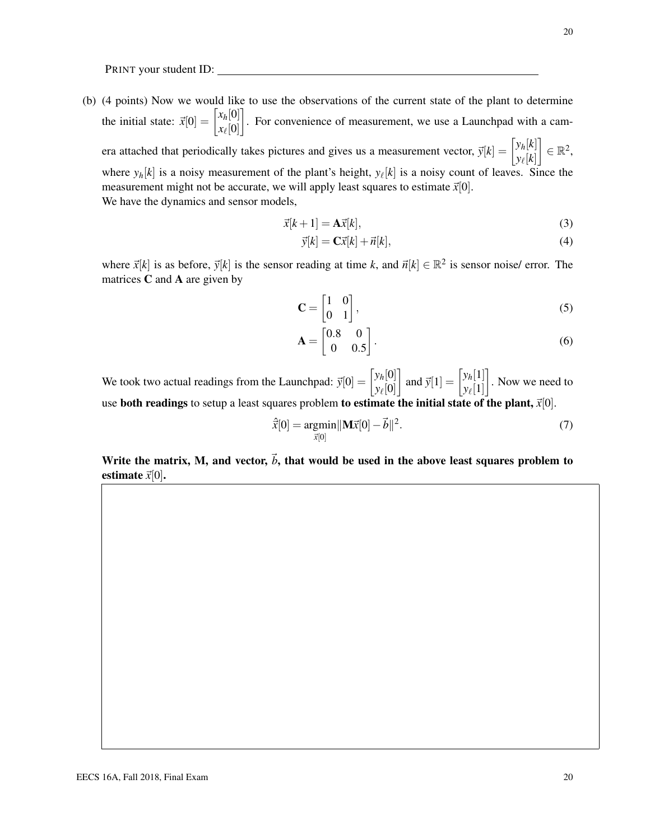(b) (4 points) Now we would like to use the observations of the current state of the plant to determine the initial state:  $\vec{x}[0] = \begin{bmatrix} x_h[0] \\ x_h[0] \end{bmatrix}$  $x_{\ell}[0]$  . For convenience of measurement, we use a Launchpad with a camera attached that periodically takes pictures and gives us a measurement vector,  $\vec{y}[k] = \begin{bmatrix} y_h[k] \\ \vdots \\ y_h[k] \end{bmatrix}$  $y_{\ell}[k]$  $\Big] \in \mathbb{R}^2$ , where  $y_h[k]$  is a noisy measurement of the plant's height,  $y_\ell[k]$  is a noisy count of leaves. Since the measurement might not be accurate, we will apply least squares to estimate  $\vec{x}[0]$ . We have the dynamics and sensor models,

$$
\vec{x}[k+1] = \mathbf{A}\vec{x}[k],\tag{3}
$$

$$
\vec{y}[k] = \mathbf{C}\vec{x}[k] + \vec{n}[k],\tag{4}
$$

where  $\vec{x}[k]$  is as before,  $\vec{y}[k]$  is the sensor reading at time *k*, and  $\vec{n}[k] \in \mathbb{R}^2$  is sensor noise/ error. The matrices  $C$  and  $A$  are given by

$$
\mathbf{C} = \begin{bmatrix} 1 & 0 \\ 0 & 1 \end{bmatrix},\tag{5}
$$

$$
\mathbf{A} = \begin{bmatrix} 0.8 & 0 \\ 0 & 0.5 \end{bmatrix} . \tag{6}
$$

We took two actual readings from the Launchpad:  $\vec{y}[0] = \begin{bmatrix} y_h[0] \\ y_h[0] \end{bmatrix}$ *y*` [0] and  $\vec{y}[1] = \begin{bmatrix} y_h[1] \\ y_h[1] \end{bmatrix}$  $y_{\ell}[1]$  . Now we need to use both readings to setup a least squares problem to estimate the initial state of the plant,  $\vec{x}[0]$ .

$$
\hat{\vec{x}}[0] = \underset{\vec{x}[0]}{\text{argmin}} ||\mathbf{M}\vec{x}[0] - \vec{b}||^2. \tag{7}
$$

Write the matrix, M, and vector,  $\vec{b}$ , that would be used in the above least squares problem to estimate  $\vec{x}[0]$ .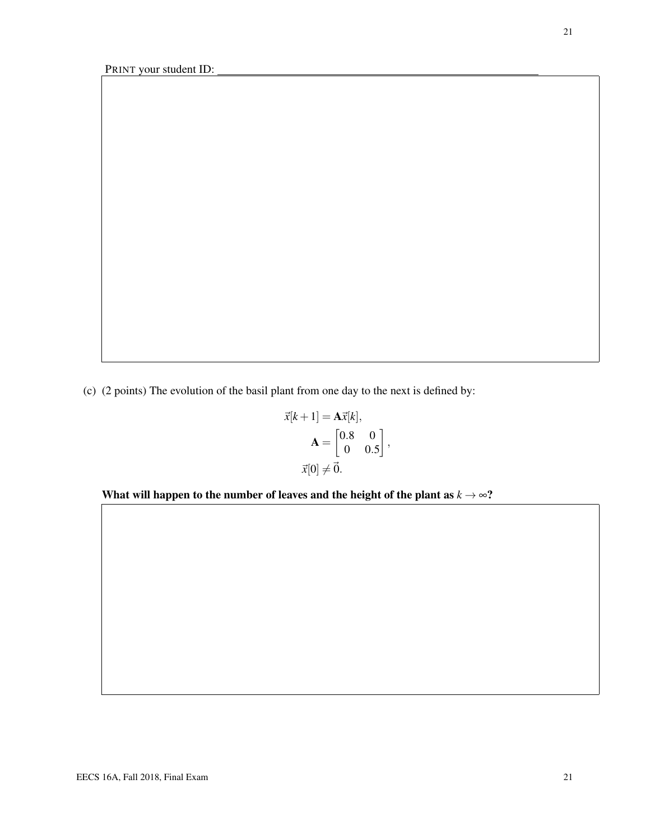(c) (2 points) The evolution of the basil plant from one day to the next is defined by:

$$
\vec{x}[k+1] = \mathbf{A}\vec{x}[k],
$$

$$
\mathbf{A} = \begin{bmatrix} 0.8 & 0 \\ 0 & 0.5 \end{bmatrix},
$$

$$
\vec{x}[0] \neq \vec{0}.
$$

What will happen to the number of leaves and the height of the plant as  $k \rightarrow \infty$ ?

EECS 16A, Fall 2018, Final Exam 21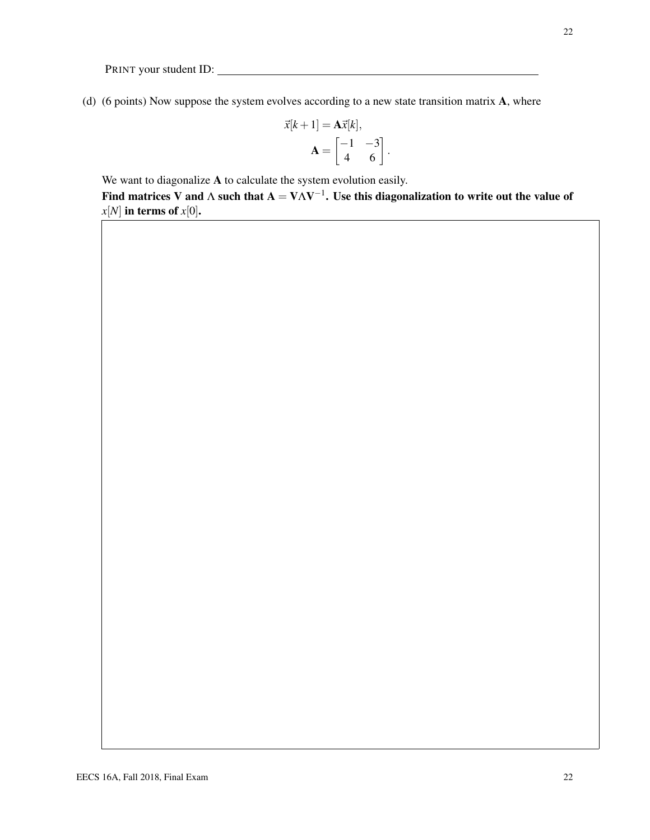(d) (6 points) Now suppose the system evolves according to a new state transition matrix A, where

$$
\vec{x}[k+1] = \mathbf{A}\vec{x}[k],
$$

$$
\mathbf{A} = \begin{bmatrix} -1 & -3 \\ 4 & 6 \end{bmatrix}.
$$

We want to diagonalize **A** to calculate the system evolution easily.

Find matrices V and  $\Lambda$  such that  ${\bf A} = {\bf V} \Lambda {\bf V}^{-1}.$  Use this diagonalization to write out the value of  $x[N]$  in terms of  $x[0]$ .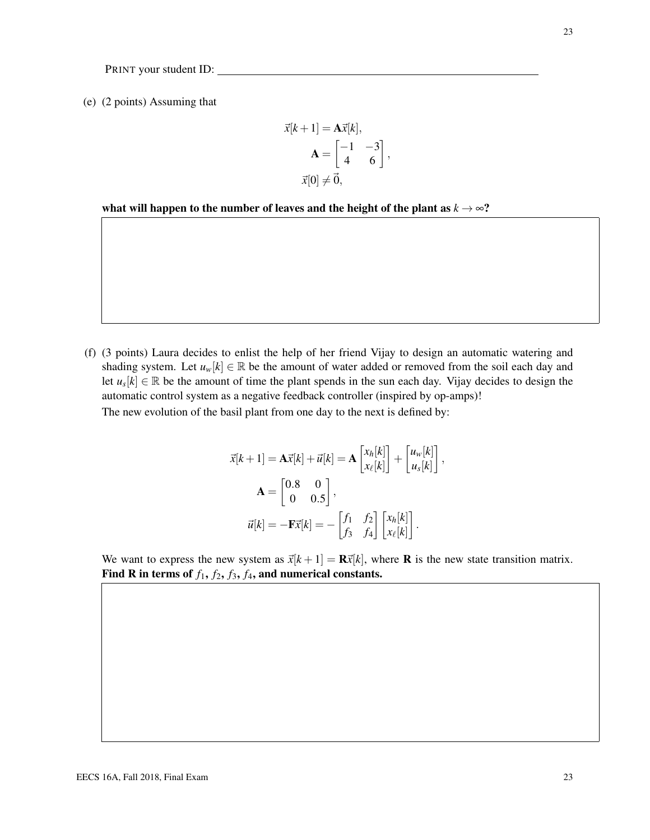(e) (2 points) Assuming that

$$
\vec{x}[k+1] = \mathbf{A}\vec{x}[k],
$$

$$
\mathbf{A} = \begin{bmatrix} -1 & -3 \\ 4 & 6 \end{bmatrix},
$$

$$
\vec{x}[0] \neq \vec{0},
$$

what will happen to the number of leaves and the height of the plant as  $k \rightarrow \infty$ ?

(f) (3 points) Laura decides to enlist the help of her friend Vijay to design an automatic watering and shading system. Let  $u_w[k] \in \mathbb{R}$  be the amount of water added or removed from the soil each day and let  $u_s[k] \in \mathbb{R}$  be the amount of time the plant spends in the sun each day. Vijay decides to design the automatic control system as a negative feedback controller (inspired by op-amps)!

The new evolution of the basil plant from one day to the next is defined by:

$$
\vec{x}[k+1] = \mathbf{A}\vec{x}[k] + \vec{u}[k] = \mathbf{A} \begin{bmatrix} x_h[k] \\ x_{\ell}[k] \end{bmatrix} + \begin{bmatrix} u_w[k] \\ u_s[k] \end{bmatrix},
$$

$$
\mathbf{A} = \begin{bmatrix} 0.8 & 0 \\ 0 & 0.5 \end{bmatrix},
$$

$$
\vec{u}[k] = -\mathbf{F}\vec{x}[k] = -\begin{bmatrix} f_1 & f_2 \\ f_3 & f_4 \end{bmatrix} \begin{bmatrix} x_h[k] \\ x_{\ell}[k] \end{bmatrix}.
$$

We want to express the new system as  $\vec{x}[k+1] = \mathbf{R}\vec{x}[k]$ , where **R** is the new state transition matrix. Find R in terms of  $f_1$ ,  $f_2$ ,  $f_3$ ,  $f_4$ , and numerical constants.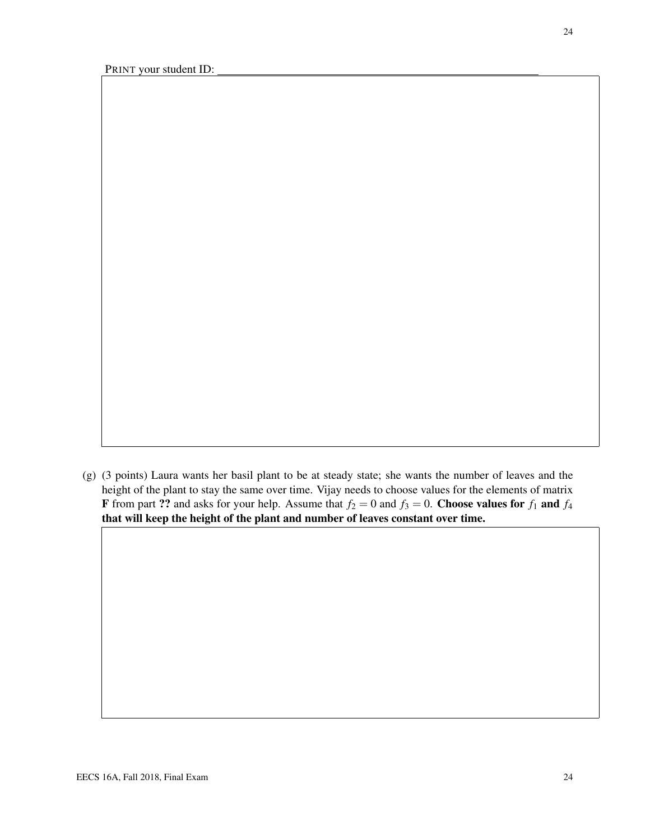24

(g) (3 points) Laura wants her basil plant to be at steady state; she wants the number of leaves and the height of the plant to stay the same over time. Vijay needs to choose values for the elements of matrix **F** from part ?? and asks for your help. Assume that  $f_2 = 0$  and  $f_3 = 0$ . Choose values for  $f_1$  and  $f_4$ that will keep the height of the plant and number of leaves constant over time.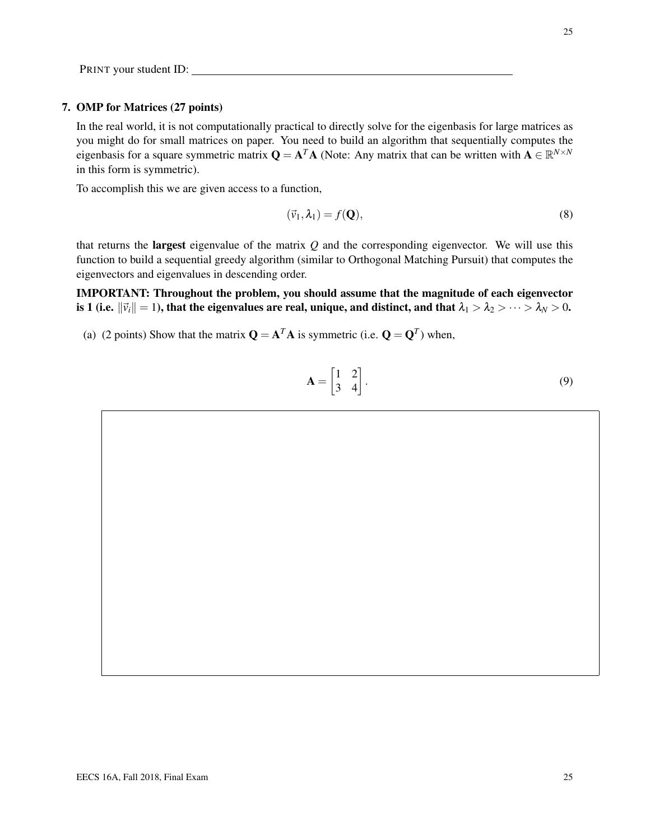## 7. OMP for Matrices (27 points)

In the real world, it is not computationally practical to directly solve for the eigenbasis for large matrices as you might do for small matrices on paper. You need to build an algorithm that sequentially computes the eigenbasis for a square symmetric matrix  $Q = A^T A$  (Note: Any matrix that can be written with  $A \in \mathbb{R}^{N \times N}$ in this form is symmetric).

To accomplish this we are given access to a function,

$$
(\vec{v}_1, \lambda_1) = f(\mathbf{Q}),\tag{8}
$$

that returns the largest eigenvalue of the matrix *Q* and the corresponding eigenvector. We will use this function to build a sequential greedy algorithm (similar to Orthogonal Matching Pursuit) that computes the eigenvectors and eigenvalues in descending order.

IMPORTANT: Throughout the problem, you should assume that the magnitude of each eigenvector is 1 (i.e.  $\|\vec{v}_i\|=1$ ), that the eigenvalues are real, unique, and distinct, and that  $\lambda_1 > \lambda_2 > \cdots > \lambda_N > 0$ .

(a) (2 points) Show that the matrix  $\mathbf{Q} = \mathbf{A}^T \mathbf{A}$  is symmetric (i.e.  $\mathbf{Q} = \mathbf{Q}^T$ ) when,

$$
\mathbf{A} = \begin{bmatrix} 1 & 2 \\ 3 & 4 \end{bmatrix} . \tag{9}
$$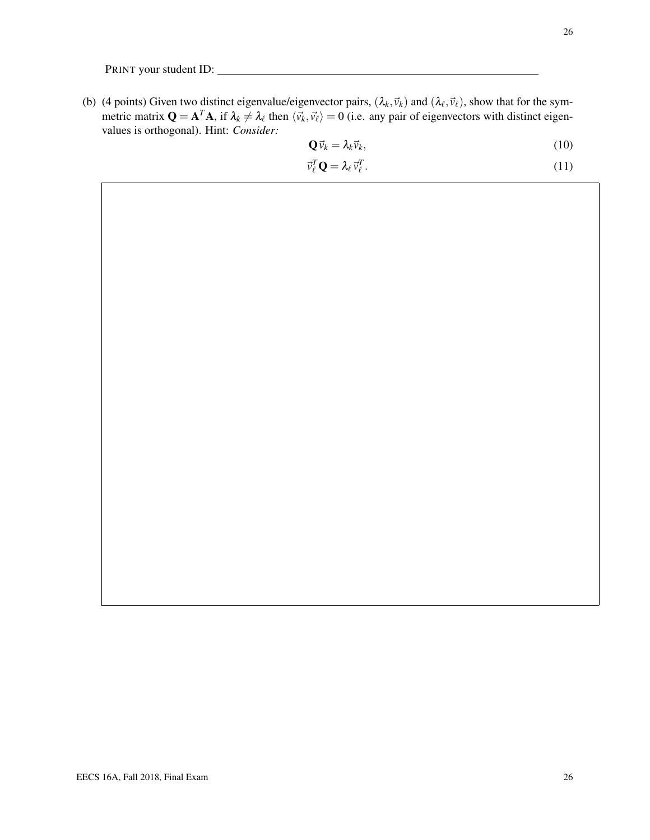(b) (4 points) Given two distinct eigenvalue/eigenvector pairs,  $(\lambda_k, \vec{v}_k)$  and  $(\lambda_\ell, \vec{v}_\ell)$ , show that for the symmetric matrix  $Q = A^T A$ , if  $\lambda_k \neq \lambda_\ell$  then  $\langle \vec{v}_k, \vec{v}_l \rangle = 0$  (i.e. any pair of eigenvectors with distinct eigenvalues is orthogonal). Hint: *Consider:*

$$
\mathbf{Q}\vec{v}_k = \lambda_k \vec{v}_k,\tag{10}
$$

$$
\vec{v}_{\ell}^T \mathbf{Q} = \lambda_{\ell} \vec{v}_{\ell}^T. \tag{11}
$$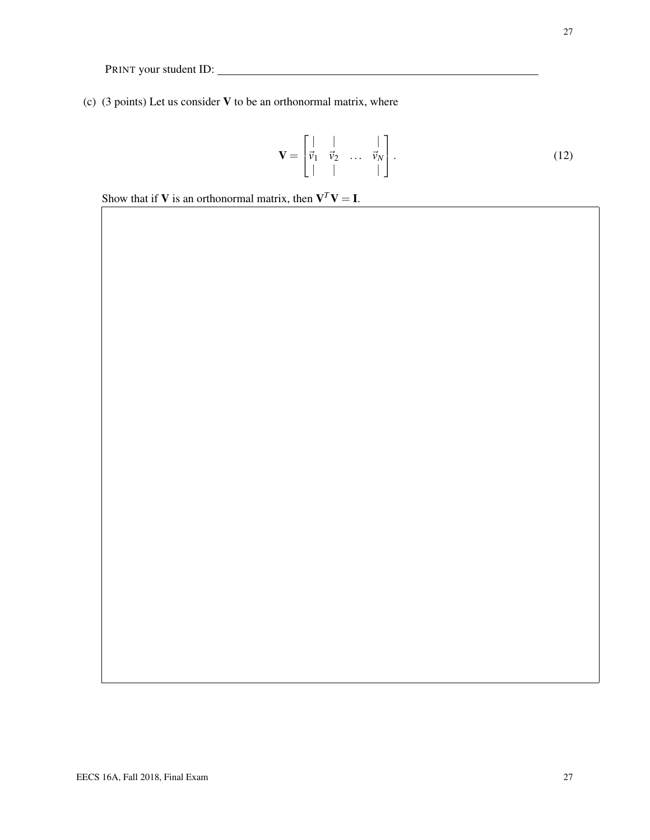(c) (3 points) Let us consider  $V$  to be an orthonormal matrix, where

$$
\mathbf{V} = \begin{bmatrix} | & | & \cdots & | \\ \vec{v}_1 & \vec{v}_2 & \cdots & \vec{v}_N \\ | & | & \cdots & | \end{bmatrix} . \tag{12}
$$

Show that if **V** is an orthonormal matrix, then  $V^T V = I$ .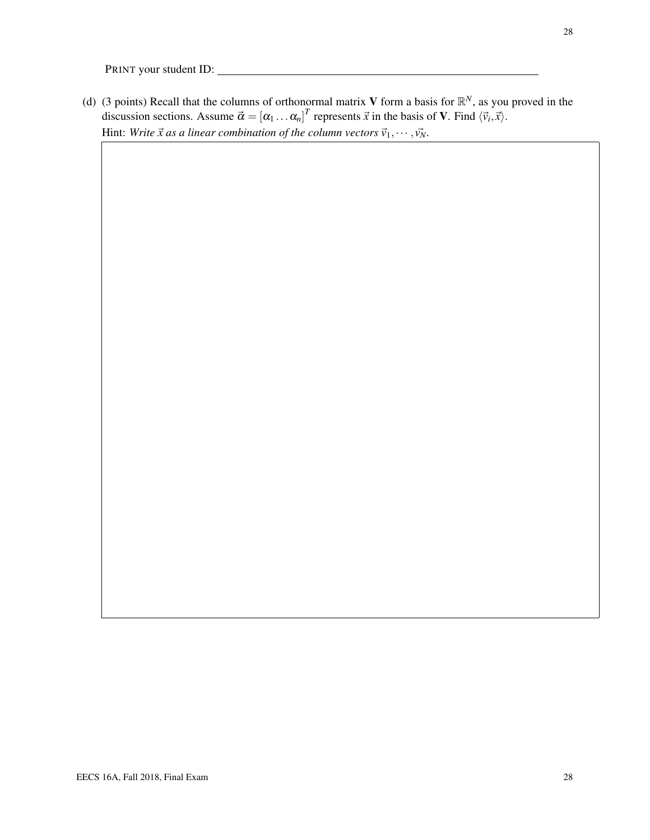(d) (3 points) Recall that the columns of orthonormal matrix V form a basis for  $\mathbb{R}^N$ , as you proved in the discussion sections. Assume  $\vec{\alpha} = [\alpha_1 \dots \alpha_n]^T$  represents  $\vec{x}$  in the basis of **V**. Find  $\langle \vec{v}_i, \vec{x} \rangle$ . Hint: *Write*  $\vec{x}$  as a linear combination of the column vectors  $\vec{v}_1, \dots, \vec{v}_N$ .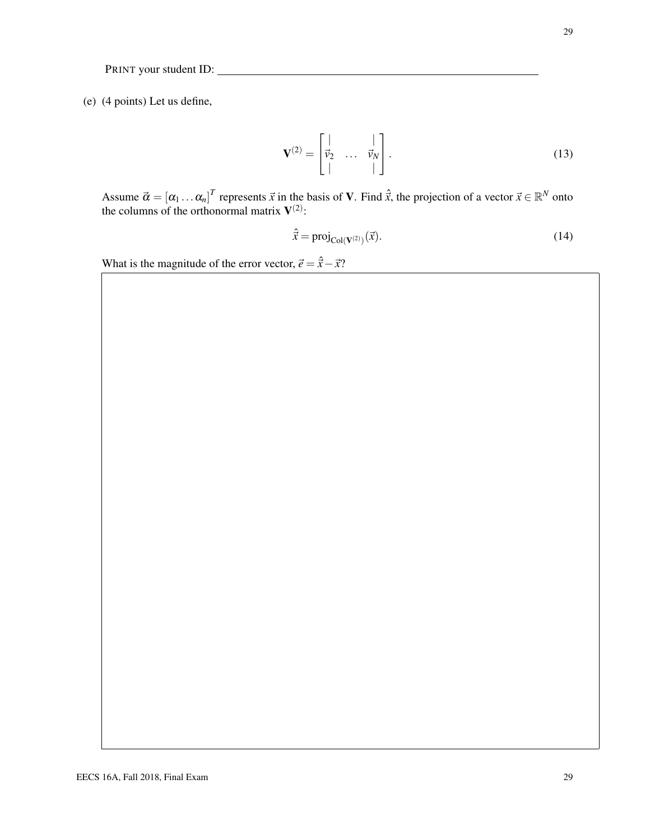(e) (4 points) Let us define,

$$
\mathbf{V}^{(2)} = \begin{bmatrix} | & & | \\ \vec{v}_2 & \dots & \vec{v}_N \\ | & & | \end{bmatrix} . \tag{13}
$$

Assume  $\vec{\alpha} = [\alpha_1 \dots \alpha_n]^T$  represents  $\vec{x}$  in the basis of **V**. Find  $\hat{\vec{x}}$ , the projection of a vector  $\vec{x} \in \mathbb{R}^N$  onto the columns of the orthonormal matrix  $V^{(2)}$ :

$$
\hat{\vec{x}} = \text{proj}_{\text{Col}(V^{(2)})}(\vec{x}).\tag{14}
$$

What is the magnitude of the error vector,  $\vec{e} = \hat{\vec{x}} - \vec{x}$ ?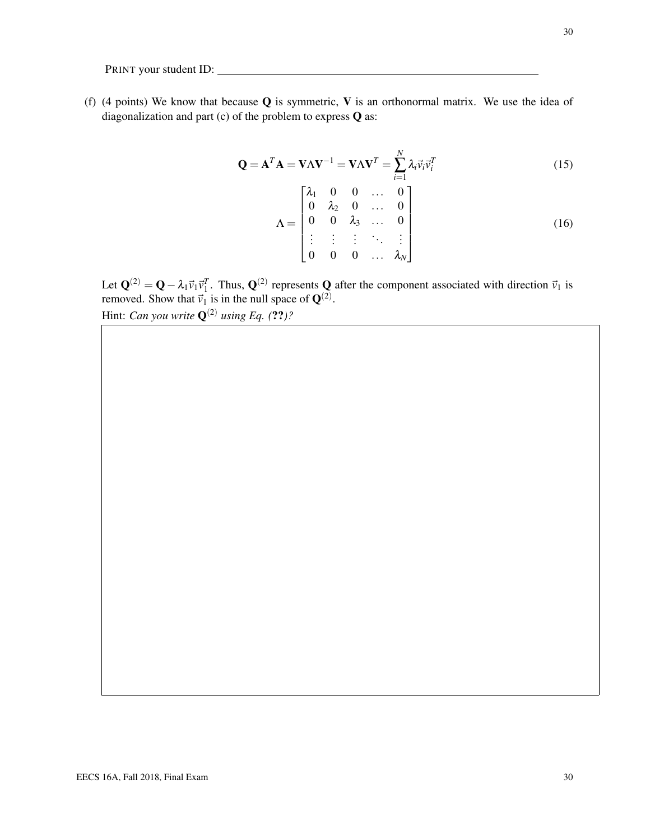(f) (4 points) We know that because  $Q$  is symmetric, V is an orthonormal matrix. We use the idea of diagonalization and part (c) of the problem to express Q as:

$$
\mathbf{Q} = \mathbf{A}^T \mathbf{A} = \mathbf{V} \Lambda \mathbf{V}^{-1} = \mathbf{V} \Lambda \mathbf{V}^T = \sum_{i=1}^N \lambda_i \vec{v}_i \vec{v}_i^T
$$
(15)  

$$
\Lambda = \begin{bmatrix} \lambda_1 & 0 & 0 & \dots & 0 \\ 0 & \lambda_2 & 0 & \dots & 0 \\ 0 & 0 & \lambda_3 & \dots & 0 \\ \vdots & \vdots & \vdots & \ddots & \vdots \\ 0 & 0 & 0 & \dots & \lambda_N \end{bmatrix}
$$
(16)

Let  $\mathbf{Q}^{(2)} = \mathbf{Q} - \lambda_1 \vec{v}_1 \vec{v}_1^T$ . Thus,  $\mathbf{Q}^{(2)}$  represents  $\mathbf{Q}$  after the component associated with direction  $\vec{v}_1$  is removed. Show that  $\vec{v}_1$  is in the null space of  $\mathbf{Q}^{(2)}$ .

Hint: *Can you write*  $\mathbf{Q}^{(2)}$  *using Eq.* (??)?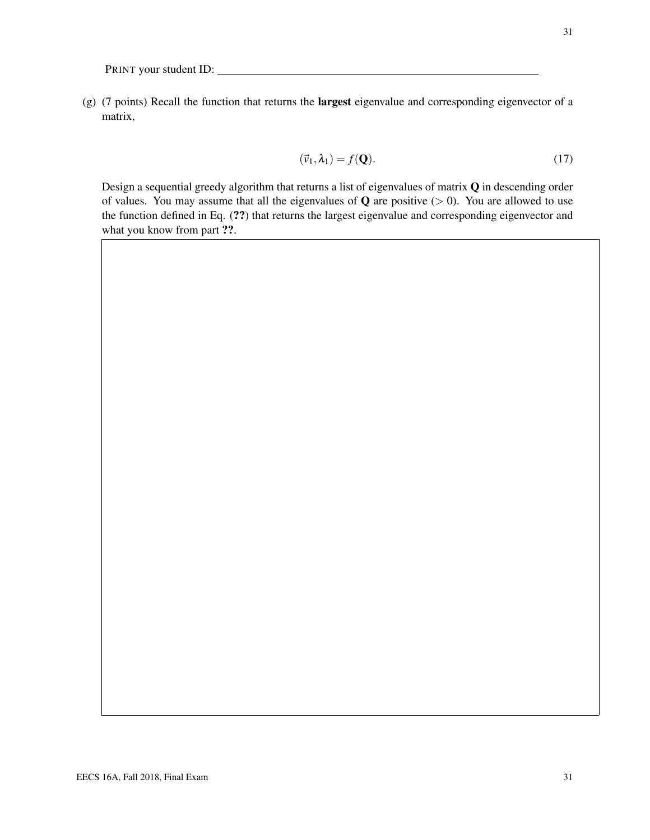(g) (7 points) Recall the function that returns the largest eigenvalue and corresponding eigenvector of a matrix,

$$
(\vec{v}_1, \lambda_1) = f(\mathbf{Q}).\tag{17}
$$

Design a sequential greedy algorithm that returns a list of eigenvalues of matrix Q in descending order of values. You may assume that all the eigenvalues of  $Q$  are positive ( $> 0$ ). You are allowed to use the function defined in Eq. (??) that returns the largest eigenvalue and corresponding eigenvector and what you know from part ??.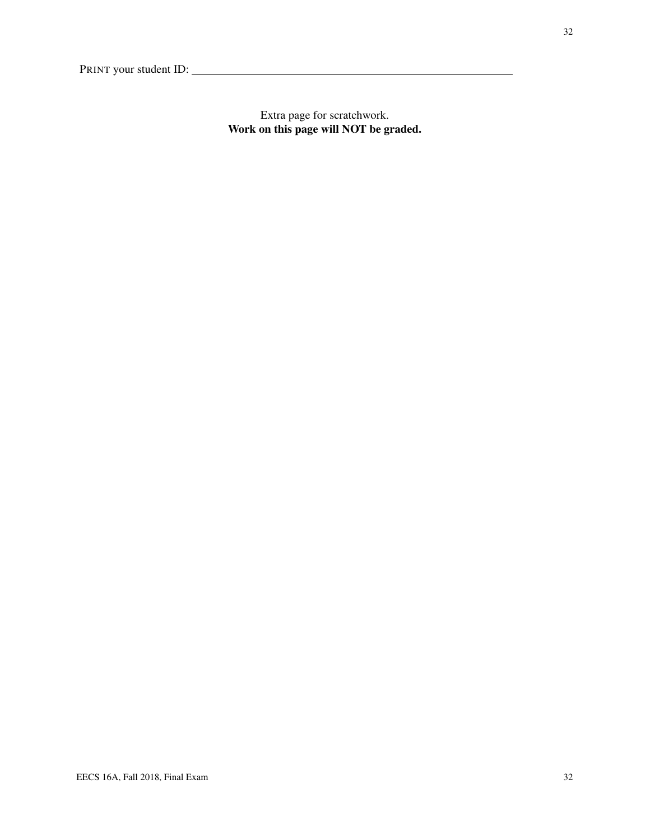Extra page for scratchwork. Work on this page will NOT be graded.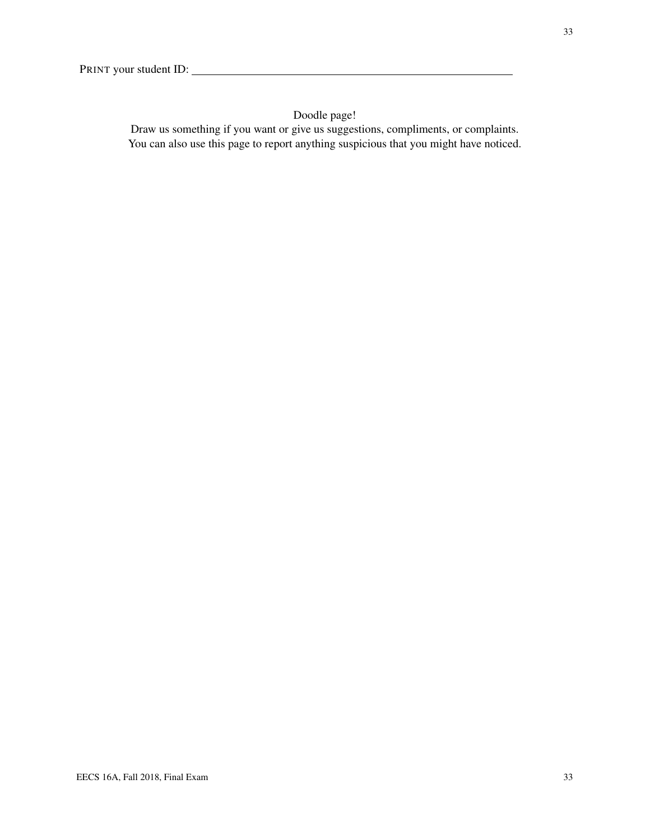# Doodle page!

Draw us something if you want or give us suggestions, compliments, or complaints. You can also use this page to report anything suspicious that you might have noticed.